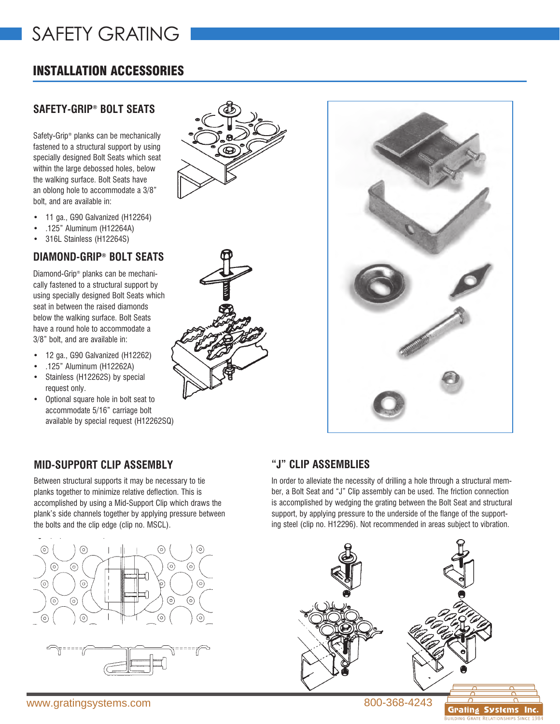# SAFETY GRATING

# INSTALLATION ACCESSORIES

### **SAFETY-GRIP® BOLT SEATS**

Safety-Grip® planks can be mechanically fastened to a structural support by using specially designed Bolt Seats which seat within the large debossed holes, below the walking surface. Bolt Seats have an oblong hole to accommodate a 3/8" bolt, and are available in:

- 11 ga., G90 Galvanized (H12264)
- .125" Aluminum (H12264A)
- 316L Stainless (H12264S)

## **DIAMOND-GRIP® BOLT SEATS**

Diamond-Grip® planks can be mechanically fastened to a structural support by using specially designed Bolt Seats which seat in between the raised diamonds below the walking surface. Bolt Seats have a round hole to accommodate a 3/8" bolt, and are available in:

- 12 ga., G90 Galvanized (H12262)
- .125" Aluminum (H12262A)
- Stainless (H12262S) by special request only.
- Optional square hole in bolt seat to accommodate 5/16" carriage bolt available by special request (H12262SQ)







### **MID-SUPPORT CLIP ASSEMBLY**

Between structural supports it may be necessary to tie planks together to minimize relative deflection. This is accomplished by using a Mid-Support Clip which draws the plank's side channels together by applying pressure between the bolts and the clip edge (clip no. MSCL).





### **"J" CLIP ASSEMBLIES**

In order to alleviate the necessity of drilling a hole through a structural member, a Bolt Seat and "J" Clip assembly can be used. The friction connection is accomplished by wedging the grating between the Bolt Seat and structural support, by applying pressure to the underside of the flange of the supporting steel (clip no. H12296). Not recommended in areas subject to vibration.